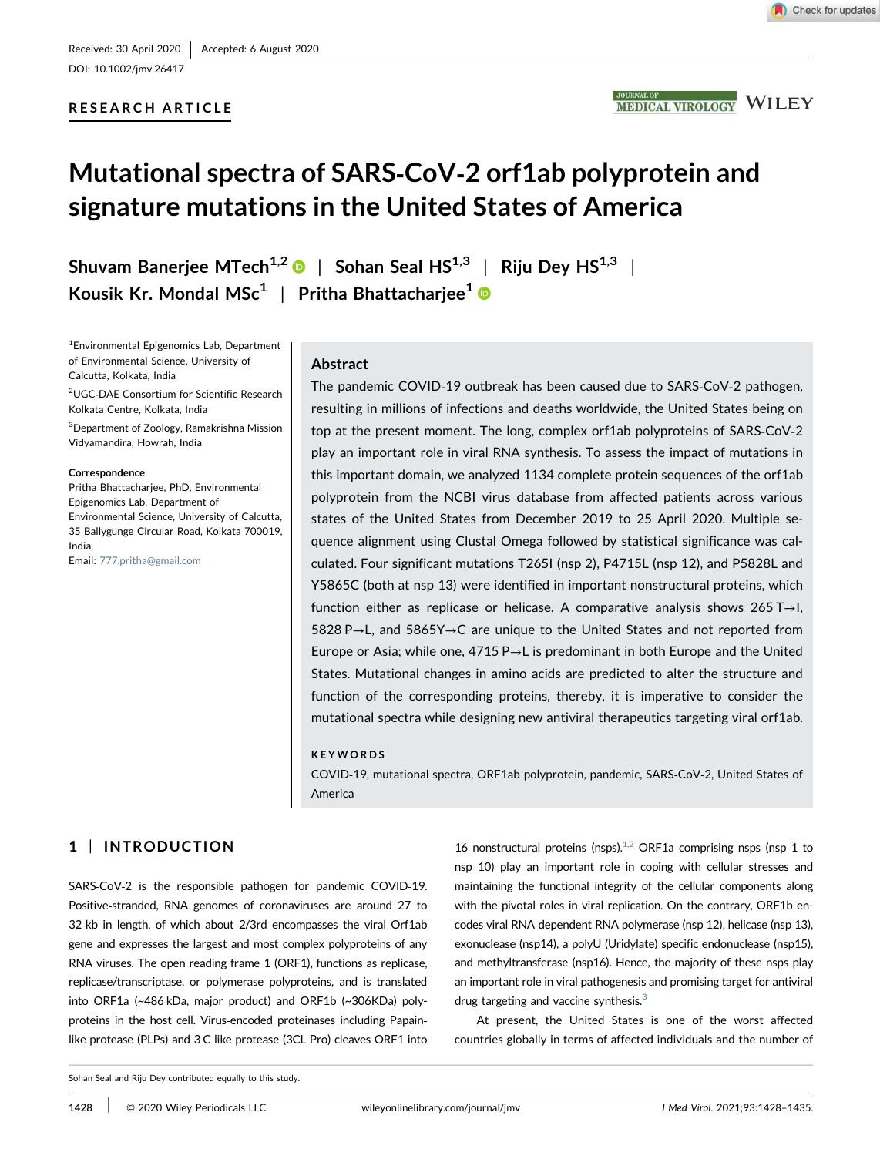DOI: 10.1002/jmv.26417

## RESEARCH ARTICLE



# Mutational spectra of SARS‐CoV‐2 orf1ab polyprotein and signature mutations in the United States of America

Shuvam Banerjee MTech<sup>1,2</sup>  $\bullet$  | Sohan Seal HS<sup>1,3</sup> | Riju Dey HS<sup>1,3</sup> | Kousik Kr. Mondal MSc $^1\,$  | Pritha Bhattacharjee $^1$ 

1 Environmental Epigenomics Lab, Department of Environmental Science, University of Calcutta, Kolkata, India

<sup>2</sup>UGC‐DAE Consortium for Scientific Research Kolkata Centre, Kolkata, India

<sup>3</sup>Department of Zoology, Ramakrishna Mission Vidyamandira, Howrah, India

#### Correspondence

Pritha Bhattacharjee, PhD, Environmental Epigenomics Lab, Department of Environmental Science, University of Calcutta, 35 Ballygunge Circular Road, Kolkata 700019, India.

Email: 777.pritha@gmail.com

## Abstract

The pandemic COVID‐19 outbreak has been caused due to SARS‐CoV‐2 pathogen, resulting in millions of infections and deaths worldwide, the United States being on top at the present moment. The long, complex orf1ab polyproteins of SARS‐CoV‐2 play an important role in viral RNA synthesis. To assess the impact of mutations in this important domain, we analyzed 1134 complete protein sequences of the orf1ab polyprotein from the NCBI virus database from affected patients across various states of the United States from December 2019 to 25 April 2020. Multiple sequence alignment using Clustal Omega followed by statistical significance was calculated. Four significant mutations T265I (nsp 2), P4715L (nsp 12), and P5828L and Y5865C (both at nsp 13) were identified in important nonstructural proteins, which function either as replicase or helicase. A comparative analysis shows 265 T→I, 5828 P→L, and 5865Y→C are unique to the United States and not reported from Europe or Asia; while one, 4715 P→L is predominant in both Europe and the United States. Mutational changes in amino acids are predicted to alter the structure and function of the corresponding proteins, thereby, it is imperative to consider the mutational spectra while designing new antiviral therapeutics targeting viral orf1ab.

#### KEYWORDS

COVID‐19, mutational spectra, ORF1ab polyprotein, pandemic, SARS‐CoV‐2, United States of America

# 1 | INTRODUCTION

SARS-CoV-2 is the responsible pathogen for pandemic COVID-19. Positive‐stranded, RNA genomes of coronaviruses are around 27 to 32‐kb in length, of which about 2/3rd encompasses the viral Orf1ab gene and expresses the largest and most complex polyproteins of any RNA viruses. The open reading frame 1 (ORF1), functions as replicase, replicase/transcriptase, or polymerase polyproteins, and is translated into ORF1a (~486 kDa, major product) and ORF1b (~306KDa) polyproteins in the host cell. Virus-encoded proteinases including Papainlike protease (PLPs) and 3 C like protease (3CL Pro) cleaves ORF1 into

16 nonstructural proteins (nsps). $1,2$  ORF1a comprising nsps (nsp 1 to nsp 10) play an important role in coping with cellular stresses and maintaining the functional integrity of the cellular components along with the pivotal roles in viral replication. On the contrary, ORF1b encodes viral RNA‐dependent RNA polymerase (nsp 12), helicase (nsp 13), exonuclease (nsp14), a polyU (Uridylate) specific endonuclease (nsp15), and methyltransferase (nsp16). Hence, the majority of these nsps play an important role in viral pathogenesis and promising target for antiviral drug targeting and vaccine synthesis.<sup>3</sup>

At present, the United States is one of the worst affected countries globally in terms of affected individuals and the number of

Sohan Seal and Riju Dey contributed equally to this study.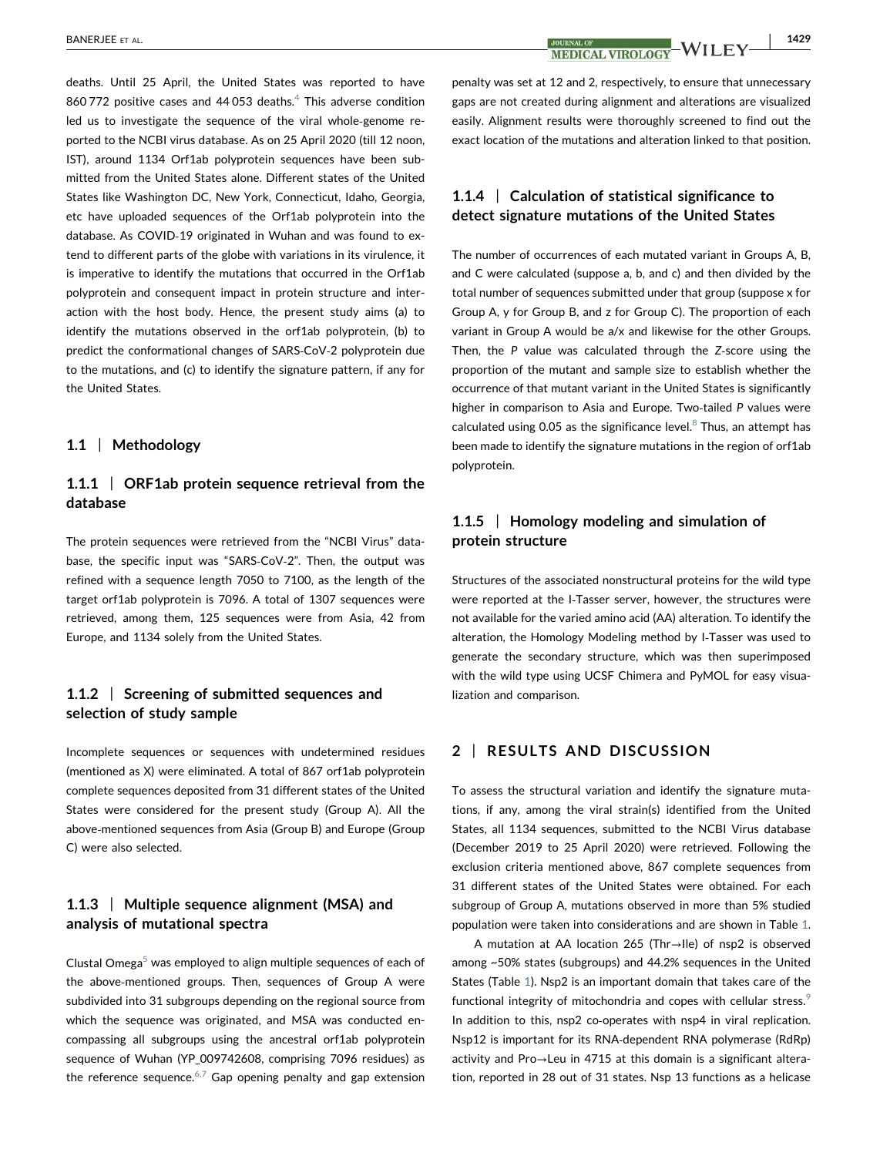deaths. Until 25 April, the United States was reported to have 860 772 positive cases and 44 053 deaths. $^4$  This adverse condition led us to investigate the sequence of the viral whole‐genome reported to the NCBI virus database. As on 25 April 2020 (till 12 noon, IST), around 1134 Orf1ab polyprotein sequences have been submitted from the United States alone. Different states of the United States like Washington DC, New York, Connecticut, Idaho, Georgia, etc have uploaded sequences of the Orf1ab polyprotein into the database. As COVID‐19 originated in Wuhan and was found to extend to different parts of the globe with variations in its virulence, it is imperative to identify the mutations that occurred in the Orf1ab polyprotein and consequent impact in protein structure and interaction with the host body. Hence, the present study aims (a) to identify the mutations observed in the orf1ab polyprotein, (b) to predict the conformational changes of SARS‐CoV‐2 polyprotein due to the mutations, and (c) to identify the signature pattern, if any for the United States.

## 1.1 | Methodology

# 1.1.1 | ORF1ab protein sequence retrieval from the database

The protein sequences were retrieved from the "NCBI Virus" database, the specific input was "SARS‐CoV‐2". Then, the output was refined with a sequence length 7050 to 7100, as the length of the target orf1ab polyprotein is 7096. A total of 1307 sequences were retrieved, among them, 125 sequences were from Asia, 42 from Europe, and 1134 solely from the United States.

# 1.1.2 | Screening of submitted sequences and selection of study sample

Incomplete sequences or sequences with undetermined residues (mentioned as X) were eliminated. A total of 867 orf1ab polyprotein complete sequences deposited from 31 different states of the United States were considered for the present study (Group A). All the above‐mentioned sequences from Asia (Group B) and Europe (Group C) were also selected.

# 1.1.3 | Multiple sequence alignment (MSA) and analysis of mutational spectra

Clustal Omega $5$  was employed to align multiple sequences of each of the above‐mentioned groups. Then, sequences of Group A were subdivided into 31 subgroups depending on the regional source from which the sequence was originated, and MSA was conducted encompassing all subgroups using the ancestral orf1ab polyprotein sequence of Wuhan (YP\_009742608, comprising 7096 residues) as the reference sequence.<sup>6,7</sup> Gap opening penalty and gap extension

**MEDICAL VIROLOGY<sup>-</sup>WILEY-**

penalty was set at 12 and 2, respectively, to ensure that unnecessary gaps are not created during alignment and alterations are visualized easily. Alignment results were thoroughly screened to find out the exact location of the mutations and alteration linked to that position.

# 1.1.4 | Calculation of statistical significance to detect signature mutations of the United States

The number of occurrences of each mutated variant in Groups A, B, and C were calculated (suppose a, b, and c) and then divided by the total number of sequences submitted under that group (suppose x for Group A, y for Group B, and z for Group C). The proportion of each variant in Group A would be a/x and likewise for the other Groups. Then, the P value was calculated through the Z-score using the proportion of the mutant and sample size to establish whether the occurrence of that mutant variant in the United States is significantly higher in comparison to Asia and Europe. Two-tailed P values were calculated using 0.05 as the significance level. $8$  Thus, an attempt has been made to identify the signature mutations in the region of orf1ab polyprotein.

# 1.1.5 | Homology modeling and simulation of protein structure

Structures of the associated nonstructural proteins for the wild type were reported at the I‐Tasser server, however, the structures were not available for the varied amino acid (AA) alteration. To identify the alteration, the Homology Modeling method by I‐Tasser was used to generate the secondary structure, which was then superimposed with the wild type using UCSF Chimera and PyMOL for easy visualization and comparison.

## 2 | RESULTS AND DISCUSSION

To assess the structural variation and identify the signature mutations, if any, among the viral strain(s) identified from the United States, all 1134 sequences, submitted to the NCBI Virus database (December 2019 to 25 April 2020) were retrieved. Following the exclusion criteria mentioned above, 867 complete sequences from 31 different states of the United States were obtained. For each subgroup of Group A, mutations observed in more than 5% studied population were taken into considerations and are shown in Table 1.

A mutation at AA location 265 (Thr→Ile) of nsp2 is observed among ~50% states (subgroups) and 44.2% sequences in the United States (Table 1). Nsp2 is an important domain that takes care of the functional integrity of mitochondria and copes with cellular stress.<sup>9</sup> In addition to this, nsp2 co-operates with nsp4 in viral replication. Nsp12 is important for its RNA‐dependent RNA polymerase (RdRp) activity and Pro→Leu in 4715 at this domain is a significant alteration, reported in 28 out of 31 states. Nsp 13 functions as a helicase

|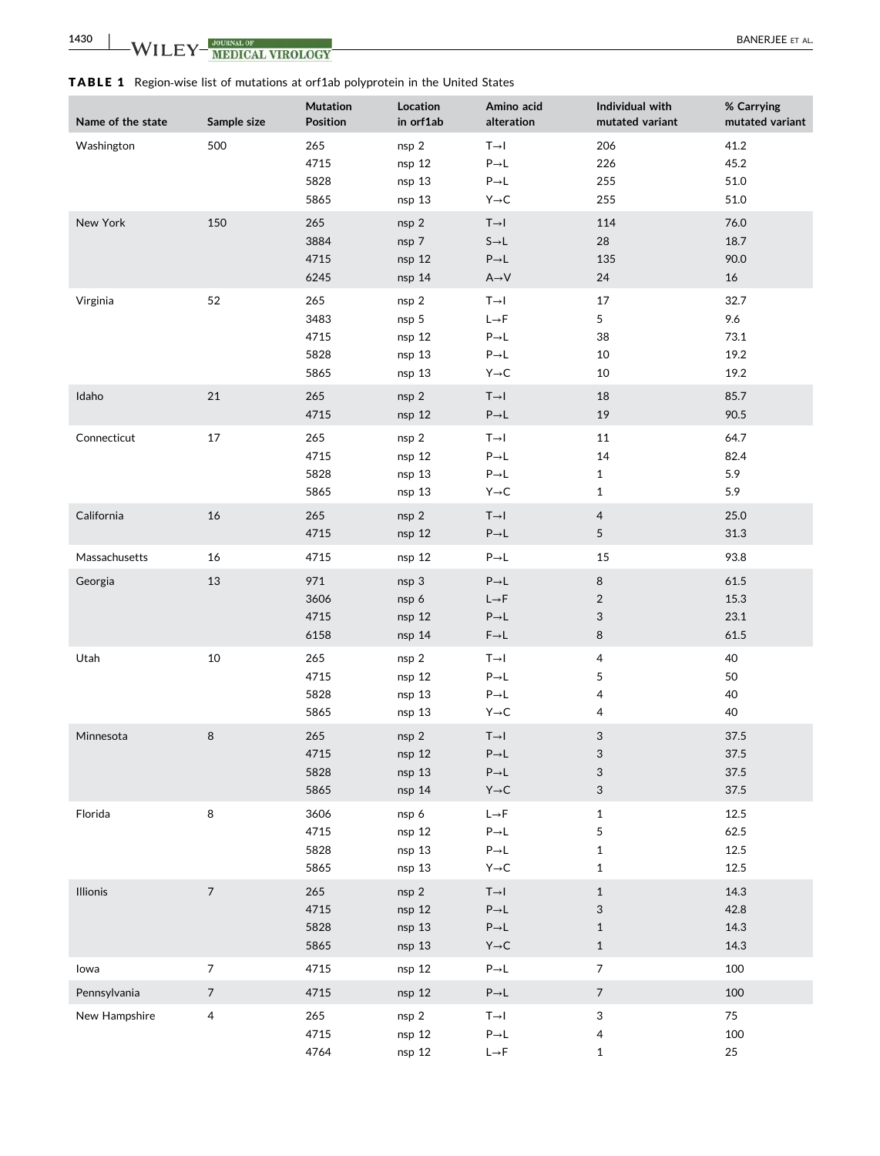TABLE 1 Region‐wise list of mutations at orf1ab polyprotein in the United States

| Name of the state | Sample size    | <b>Mutation</b><br><b>Position</b>  | Location<br>in orf1ab                          | Amino acid<br>alteration                                                                              | Individual with<br>mutated variant                | % Carrying<br>mutated variant       |
|-------------------|----------------|-------------------------------------|------------------------------------------------|-------------------------------------------------------------------------------------------------------|---------------------------------------------------|-------------------------------------|
| Washington        | 500            | 265<br>4715<br>5828<br>5865         | nsp 2<br>nsp 12<br>nsp 13<br>nsp <sub>13</sub> | $T \rightarrow I$<br>$P\rightarrow L$<br>$P \rightarrow L$<br>$Y \rightarrow C$                       | 206<br>226<br>255<br>255                          | 41.2<br>45.2<br>51.0<br>51.0        |
| New York          | 150            | 265<br>3884<br>4715<br>6245         | nsp 2<br>nsp 7<br>nsp 12<br>nsp 14             | $T \rightarrow I$<br>$S \rightarrow L$<br>$P\rightarrow L$<br>$A \rightarrow V$                       | 114<br>28<br>135<br>24                            | 76.0<br>18.7<br>90.0<br>16          |
| Virginia          | 52             | 265<br>3483<br>4715<br>5828<br>5865 | nsp 2<br>nsp 5<br>nsp 12<br>nsp 13<br>nsp 13   | $T \rightarrow I$<br>$L \rightarrow F$<br>$P \rightarrow L$<br>$P \rightarrow L$<br>$Y \rightarrow C$ | 17<br>5<br>38<br>10<br>10                         | 32.7<br>9.6<br>73.1<br>19.2<br>19.2 |
| Idaho             | $21\,$         | 265<br>4715                         | nsp 2<br>nsp 12                                | $T \rightarrow I$<br>$P\rightarrow L$                                                                 | 18<br>19                                          | 85.7<br>90.5                        |
| Connecticut       | 17             | 265<br>4715<br>5828<br>5865         | nsp 2<br>nsp 12<br>nsp 13<br>nsp 13            | $T \rightarrow I$<br>$P \rightarrow L$<br>$P \rightarrow L$<br>$Y \rightarrow C$                      | 11<br>14<br>$\mathbf{1}$<br>$\mathbf{1}$          | 64.7<br>82.4<br>5.9<br>5.9          |
| California        | 16             | 265<br>4715                         | nsp 2<br>nsp 12                                | $T \rightarrow I$<br>$P\rightarrow L$                                                                 | $\overline{4}$<br>5                               | 25.0<br>31.3                        |
| Massachusetts     | 16             | 4715                                | nsp 12                                         | $P \rightarrow L$                                                                                     | 15                                                | 93.8                                |
| Georgia           | 13             | 971<br>3606<br>4715<br>6158         | nsp 3<br>nsp 6<br>nsp 12<br>nsp 14             | $P\rightarrow L$<br>$L \rightarrow F$<br>$P\rightarrow L$<br>$F \rightarrow L$                        | 8<br>$\overline{2}$<br>3<br>$\bf 8$               | 61.5<br>15.3<br>23.1<br>61.5        |
| Utah              | $10\,$         | 265<br>4715<br>5828<br>5865         | nsp 2<br>nsp 12<br>nsp 13<br>nsp <sub>13</sub> | $T \rightarrow I$<br>$P \rightarrow L$<br>$P \rightarrow L$<br>$Y \rightarrow C$                      | 4<br>5<br>4<br>4                                  | 40<br>50<br>40<br>40                |
| Minnesota         | 8              | 265<br>4715<br>5828<br>5865         | nsp 2<br>nsp 12<br>nsp 13<br>nsp 14            | $T \rightarrow I$<br>$P\rightarrow L$<br>$P\rightarrow L$<br>$Y \rightarrow C$                        | 3<br>3<br>3<br>3                                  | 37.5<br>37.5<br>37.5<br>37.5        |
| Florida           | $\,8\,$        | 3606<br>4715<br>5828<br>5865        | nsp 6<br>nsp 12<br>nsp 13<br>nsp 13            | $L \rightarrow F$<br>$P \rightarrow L$<br>$P \rightarrow L$<br>$Y \rightarrow C$                      | $\mathbf{1}$<br>5<br>$\mathbf{1}$<br>$\mathbf{1}$ | 12.5<br>62.5<br>12.5<br>12.5        |
| Illionis          | $\overline{7}$ | 265<br>4715<br>5828<br>5865         | nsp 2<br>nsp 12<br>nsp 13<br>nsp 13            | $T \rightarrow I$<br>$P\rightarrow L$<br>$P\rightarrow L$<br>$Y \rightarrow C$                        | $\mathbf{1}$<br>3<br>$\mathbf{1}$<br>$\mathbf{1}$ | 14.3<br>42.8<br>14.3<br>14.3        |
| lowa              | $\overline{7}$ | 4715                                | nsp 12                                         | $P \rightarrow L$                                                                                     | $\overline{7}$                                    | 100                                 |
| Pennsylvania      | $\sqrt{ }$     | 4715                                | nsp 12                                         | $P\rightarrow L$                                                                                      | $\overline{7}$                                    | 100                                 |
| New Hampshire     | 4              | 265<br>4715<br>4764                 | nsp 2<br>nsp 12<br>nsp 12                      | $T \rightarrow I$<br>$P \rightarrow L$<br>$L \rightarrow F$                                           | 3<br>4<br>$\mathbf{1}$                            | 75<br>100<br>25                     |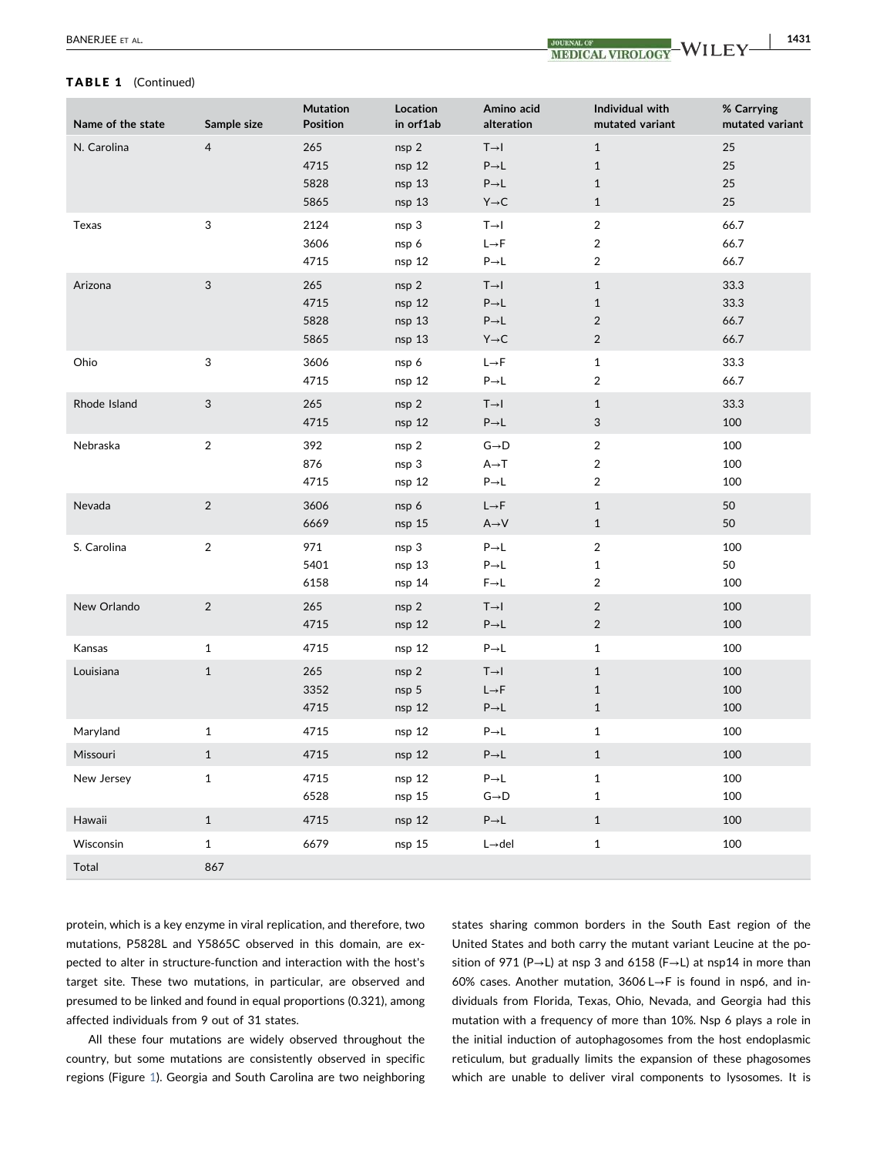#### TABLE 1 (Continued)

| Name of the state | Sample size    | Mutation<br>Position        | Location<br>in orf1ab               | Amino acid<br>alteration                                                                          | Individual with<br>mutated variant                           | % Carrying<br>mutated variant |
|-------------------|----------------|-----------------------------|-------------------------------------|---------------------------------------------------------------------------------------------------|--------------------------------------------------------------|-------------------------------|
| N. Carolina       | $\overline{4}$ | 265<br>4715<br>5828<br>5865 | nsp 2<br>nsp 12<br>nsp 13<br>nsp 13 | $T \rightarrow I$<br>$P\rightarrow L$<br>$P\rightarrow L$<br>$Y \rightarrow C$                    | $\mathbf{1}$<br>$\mathbf{1}$<br>$\mathbf{1}$<br>$\mathbf 1$  | 25<br>25<br>25<br>25          |
| Texas             | 3              | 2124<br>3606<br>4715        | nsp 3<br>nsp 6<br>nsp 12            | $T \rightarrow I$<br>$L \rightarrow F$<br>$P\rightarrow L$                                        | $\overline{2}$<br>$\overline{\mathbf{c}}$<br>$\overline{2}$  | 66.7<br>66.7<br>66.7          |
| Arizona           | 3              | 265<br>4715<br>5828<br>5865 | nsp 2<br>nsp 12<br>nsp 13<br>nsp 13 | $T \rightarrow I$<br>$\mathsf{P}{\rightarrow}\mathsf{L}$<br>$P\rightarrow L$<br>$Y \rightarrow C$ | $\mathbf{1}$<br>$\mathbf{1}$<br>$\overline{2}$<br>$\sqrt{2}$ | 33.3<br>33.3<br>66.7<br>66.7  |
| Ohio              | 3              | 3606<br>4715                | nsp 6<br>nsp 12                     | $L \rightarrow F$<br>$P\rightarrow L$                                                             | $\mathbf{1}$<br>$\overline{2}$                               | 33.3<br>66.7                  |
| Rhode Island      | $\sqrt{3}$     | 265<br>4715                 | nsp 2<br>nsp 12                     | $T \rightarrow I$<br>$P\rightarrow L$                                                             | $\mathbf{1}$<br>3                                            | 33.3<br>100                   |
| Nebraska          | $\sqrt{2}$     | 392<br>876<br>4715          | nsp 2<br>nsp 3<br>nsp 12            | $G \rightarrow D$<br>$A \rightarrow T$<br>$P\rightarrow L$                                        | $\overline{2}$<br>$\overline{2}$<br>$\overline{\mathbf{c}}$  | 100<br>100<br>100             |
| Nevada            | $\sqrt{2}$     | 3606<br>6669                | nsp 6<br>nsp 15                     | $L \rightarrow F$<br>$A \rightarrow V$                                                            | $1\,$<br>$1\,$                                               | 50<br>50                      |
| S. Carolina       | $\sqrt{2}$     | 971<br>5401<br>6158         | nsp 3<br>nsp 13<br>nsp 14           | $\mathsf{P}{\rightarrow}\mathsf{L}$<br>$P\rightarrow L$<br>$F \rightarrow L$                      | $\overline{2}$<br>$\mathbf{1}$<br>$\overline{2}$             | 100<br>50<br>100              |
| New Orlando       | $\overline{2}$ | 265<br>4715                 | nsp 2<br>nsp 12                     | $T \rightarrow I$<br>$P\rightarrow L$                                                             | $\overline{2}$<br>$\overline{2}$                             | 100<br>100                    |
| Kansas            | $\mathbf{1}$   | 4715                        | nsp 12                              | $\mathsf{P}{\rightarrow}\mathsf{L}$                                                               | $\mathbf{1}$                                                 | 100                           |
| Louisiana         | $\mathbf 1$    | 265<br>3352<br>4715         | nsp 2<br>nsp 5<br>nsp 12            | $T \rightarrow I$<br>$L \rightarrow F$<br>$P\rightarrow L$                                        | $1\,$<br>$\mathbf{1}$<br>$\mathbf{1}$                        | 100<br>100<br>100             |
| Maryland          | $\mathbf 1$    | 4715                        | nsp 12                              | $P\rightarrow L$                                                                                  | $\mathbf{1}$                                                 | 100                           |
| Missouri          | $\mathbf{1}$   | 4715                        | nsp 12                              | $\mathsf{P}{\rightarrow}\mathsf{L}$                                                               | $\mathbf{1}$                                                 | 100                           |
| New Jersey        | $\mathbf{1}$   | 4715<br>6528                | nsp 12<br>nsp 15                    | $P\rightarrow L$<br>$\mathsf{G}{\rightarrow}\mathsf{D}$                                           | $\mathbf{1}$<br>$\mathbf{1}$                                 | 100<br>100                    |
| Hawaii            | $\mathbf 1$    | 4715                        | nsp 12                              | $P\rightarrow L$                                                                                  | $\mathbf{1}$                                                 | 100                           |
| Wisconsin         | $\mathbf 1$    | 6679                        | nsp 15                              | $L\rightarrow$ del                                                                                | $\mathbf 1$                                                  | 100                           |
| Total             | 867            |                             |                                     |                                                                                                   |                                                              |                               |

protein, which is a key enzyme in viral replication, and therefore, two mutations, P5828L and Y5865C observed in this domain, are expected to alter in structure‐function and interaction with the host's target site. These two mutations, in particular, are observed and presumed to be linked and found in equal proportions (0.321), among affected individuals from 9 out of 31 states.

All these four mutations are widely observed throughout the country, but some mutations are consistently observed in specific regions (Figure 1). Georgia and South Carolina are two neighboring states sharing common borders in the South East region of the United States and both carry the mutant variant Leucine at the position of 971 (P→L) at nsp 3 and 6158 (F→L) at nsp14 in more than 60% cases. Another mutation, 3606 L→F is found in nsp6, and individuals from Florida, Texas, Ohio, Nevada, and Georgia had this mutation with a frequency of more than 10%. Nsp 6 plays a role in the initial induction of autophagosomes from the host endoplasmic reticulum, but gradually limits the expansion of these phagosomes which are unable to deliver viral components to lysosomes. It is

|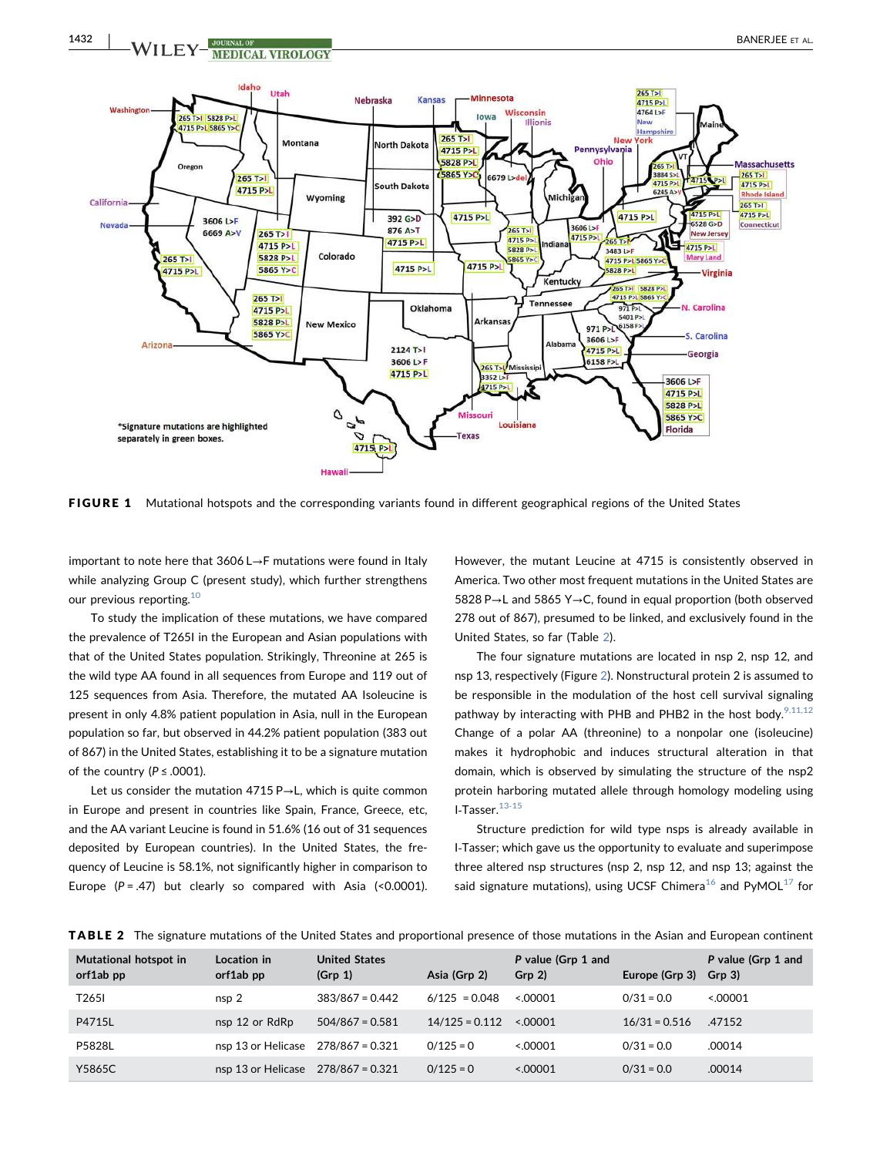

FIGURE 1 Mutational hotspots and the corresponding variants found in different geographical regions of the United States

important to note here that 3606 L→F mutations were found in Italy while analyzing Group C (present study), which further strengthens our previous reporting.<sup>10</sup>

To study the implication of these mutations, we have compared the prevalence of T265I in the European and Asian populations with that of the United States population. Strikingly, Threonine at 265 is the wild type AA found in all sequences from Europe and 119 out of 125 sequences from Asia. Therefore, the mutated AA Isoleucine is present in only 4.8% patient population in Asia, null in the European population so far, but observed in 44.2% patient population (383 out of 867) in the United States, establishing it to be a signature mutation of the country ( $P \leq .0001$ ).

Let us consider the mutation 4715 P→L, which is quite common in Europe and present in countries like Spain, France, Greece, etc, and the AA variant Leucine is found in 51.6% (16 out of 31 sequences deposited by European countries). In the United States, the frequency of Leucine is 58.1%, not significantly higher in comparison to Europe  $(P = .47)$  but clearly so compared with Asia (<0.0001). However, the mutant Leucine at 4715 is consistently observed in America. Two other most frequent mutations in the United States are 5828 P→L and 5865 Y→C, found in equal proportion (both observed 278 out of 867), presumed to be linked, and exclusively found in the United States, so far (Table 2).

The four signature mutations are located in nsp 2, nsp 12, and nsp 13, respectively (Figure 2). Nonstructural protein 2 is assumed to be responsible in the modulation of the host cell survival signaling pathway by interacting with PHB and PHB2 in the host body.<sup>9,11,12</sup> Change of a polar AA (threonine) to a nonpolar one (isoleucine) makes it hydrophobic and induces structural alteration in that domain, which is observed by simulating the structure of the nsp2 protein harboring mutated allele through homology modeling using I-Tasser. $13-15$ 

Structure prediction for wild type nsps is already available in I‐Tasser; which gave us the opportunity to evaluate and superimpose three altered nsp structures (nsp 2, nsp 12, and nsp 13; against the said signature mutations), using UCSF Chimera<sup>16</sup> and PyMOL<sup>17</sup> for

TABLE 2 The signature mutations of the United States and proportional presence of those mutations in the Asian and European continent

| Mutational hotspot in<br>orf1ab pp | Location in<br>orf1ab pp | <b>United States</b><br>(Grp 1) | Asia (Grp 2)     | P value (Grp 1 and<br>Grp <sub>2</sub> | Europe (Grp 3)  | P value (Grp 1 and<br>Grp 3) |
|------------------------------------|--------------------------|---------------------------------|------------------|----------------------------------------|-----------------|------------------------------|
| T <sub>265</sub>                   | nsp <sub>2</sub>         | $383/867 = 0.442$               | $6/125 = 0.048$  | 00001                                  | $0/31 = 0.0$    | 00001                        |
| P4715L                             | nsp 12 or RdRp           | $504/867 = 0.581$               | $14/125 = 0.112$ | 00001                                  | $16/31 = 0.516$ | .47152                       |
| P5828L                             | nsp 13 or Helicase       | $278/867 = 0.321$               | $0/125 = 0$      | < 0.00001                              | $0/31 = 0.0$    | .00014                       |
| Y5865C                             | nsp 13 or Helicase       | $278/867 = 0.321$               | $0/125 = 0$      | < 0.00001                              | $0/31 = 0.0$    | .00014                       |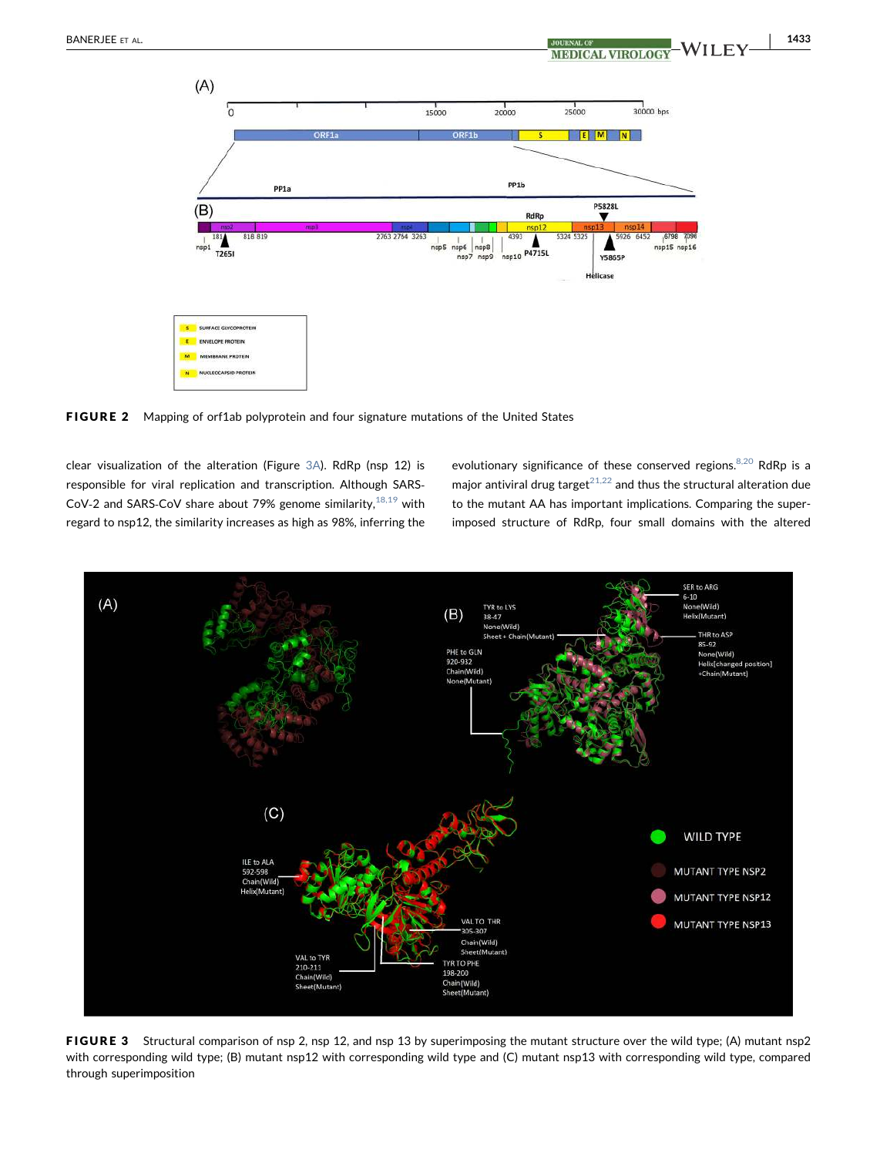| 1433



FIGURE 2 Mapping of orf1ab polyprotein and four signature mutations of the United States

clear visualization of the alteration (Figure 3A). RdRp (nsp 12) is responsible for viral replication and transcription. Although SARS‐ CoV-2 and SARS-CoV share about 79% genome similarity, $^{18,19}$  with regard to nsp12, the similarity increases as high as 98%, inferring the evolutionary significance of these conserved regions.<sup>8,20</sup> RdRp is a major antiviral drug target<sup>21,22</sup> and thus the structural alteration due to the mutant AA has important implications. Comparing the superimposed structure of RdRp, four small domains with the altered



FIGURE 3 Structural comparison of nsp 2, nsp 12, and nsp 13 by superimposing the mutant structure over the wild type; (A) mutant nsp2 with corresponding wild type; (B) mutant nsp12 with corresponding wild type and (C) mutant nsp13 with corresponding wild type, compared through superimposition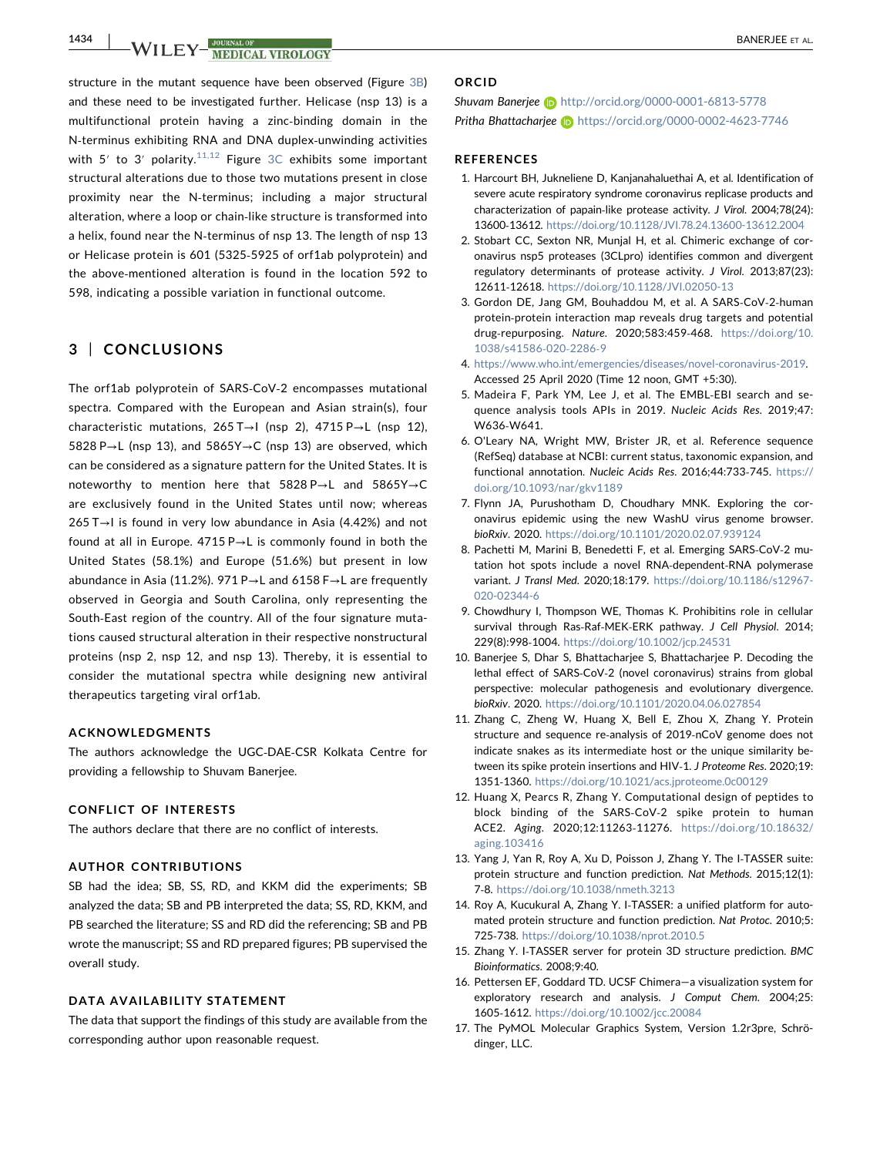1434 | **INALIA EN <sup>JOURNAL OF CONTRACT CONTRACT CONTRACT CONTRACT CONTRACT CONTRACT CONTRACT CONTRACT CONTRACT CONTRACT CONTRACT CONTRACT CONTRACT CONTRACT CONTRACT CONTRACT CONTRACT CONTRACT CONTRACT CONTRACT CONTRACT CON**</sup>

structure in the mutant sequence have been observed (Figure 3B) and these need to be investigated further. Helicase (nsp 13) is a multifunctional protein having a zinc‐binding domain in the N‐terminus exhibiting RNA and DNA duplex‐unwinding activities with 5' to 3' polarity.<sup>11,12</sup> Figure 3C exhibits some important structural alterations due to those two mutations present in close proximity near the N-terminus; including a major structural alteration, where a loop or chain‐like structure is transformed into a helix, found near the N-terminus of nsp 13. The length of nsp 13 or Helicase protein is 601 (5325‐5925 of orf1ab polyprotein) and the above‐mentioned alteration is found in the location 592 to 598, indicating a possible variation in functional outcome.

## 3 | CONCLUSIONS

The orf1ab polyprotein of SARS‐CoV‐2 encompasses mutational spectra. Compared with the European and Asian strain(s), four characteristic mutations, 265 T→I (nsp 2), 4715 P→L (nsp 12), 5828 P→L (nsp 13), and 5865Y→C (nsp 13) are observed, which can be considered as a signature pattern for the United States. It is noteworthy to mention here that 5828 P→L and 5865Y→C are exclusively found in the United States until now; whereas 265 T→I is found in very low abundance in Asia (4.42%) and not found at all in Europe. 4715 P→L is commonly found in both the United States (58.1%) and Europe (51.6%) but present in low abundance in Asia (11.2%). 971 P→L and 6158 F→L are frequently observed in Georgia and South Carolina, only representing the South‐East region of the country. All of the four signature mutations caused structural alteration in their respective nonstructural proteins (nsp 2, nsp 12, and nsp 13). Thereby, it is essential to consider the mutational spectra while designing new antiviral therapeutics targeting viral orf1ab.

## ACKNOWLEDGMENTS

The authors acknowledge the UGC‐DAE‐CSR Kolkata Centre for providing a fellowship to Shuvam Banerjee.

### CONFLICT OF INTERESTS

The authors declare that there are no conflict of interests.

## AUTHOR CONTRIBUTIONS

SB had the idea; SB, SS, RD, and KKM did the experiments; SB analyzed the data; SB and PB interpreted the data; SS, RD, KKM, and PB searched the literature; SS and RD did the referencing; SB and PB wrote the manuscript; SS and RD prepared figures; PB supervised the overall study.

#### DATA AVAILABILITY STATEMENT

The data that support the findings of this study are available from the corresponding author upon reasonable request.

#### ORCID

Shuvam Banerjee in http://orcid.org/0000-0001-6813-5778 Pritha Bhattacharjee n https://orcid.org/0000-0002-4623-7746

#### REFERENCES

- 1. Harcourt BH, Jukneliene D, Kanjanahaluethai A, et al. Identification of severe acute respiratory syndrome coronavirus replicase products and characterization of papain‐like protease activity. J Virol. 2004;78(24): 13600‐13612. https://doi.org/10.1128/JVI.78.24.13600-13612.2004
- 2. Stobart CC, Sexton NR, Munjal H, et al. Chimeric exchange of coronavirus nsp5 proteases (3CLpro) identifies common and divergent regulatory determinants of protease activity. J Virol. 2013;87(23): 12611‐12618. https://doi.org/10.1128/JVI.02050-13
- 3. Gordon DE, Jang GM, Bouhaddou M, et al. A SARS‐CoV‐2‐human protein‐protein interaction map reveals drug targets and potential drug‐repurposing. Nature. 2020;583:459‐468. https://doi.org/10. 1038/s41586‐020‐2286‐9
- 4. https://www.who.int/emergencies/diseases/novel-coronavirus-2019. Accessed 25 April 2020 (Time 12 noon, GMT +5:30).
- 5. Madeira F, Park YM, Lee J, et al. The EMBL‐EBI search and sequence analysis tools APIs in 2019. Nucleic Acids Res. 2019;47: W636‐W641.
- 6. O'Leary NA, Wright MW, Brister JR, et al. Reference sequence (RefSeq) database at NCBI: current status, taxonomic expansion, and functional annotation. Nucleic Acids Res. 2016;44:733‐745. https:// doi.org/10.1093/nar/gkv1189
- 7. Flynn JA, Purushotham D, Choudhary MNK. Exploring the coronavirus epidemic using the new WashU virus genome browser. bioRxiv. 2020. https://doi.org/10.1101/2020.02.07.939124
- 8. Pachetti M, Marini B, Benedetti F, et al. Emerging SARS‐CoV‐2 mutation hot spots include a novel RNA‐dependent‐RNA polymerase variant. J Transl Med. 2020;18:179. https://doi.org/10.1186/s12967- 020-02344-6
- 9. Chowdhury I, Thompson WE, Thomas K. Prohibitins role in cellular survival through Ras-Raf-MEK-ERK pathway. J Cell Physiol. 2014; 229(8):998‐1004. https://doi.org/10.1002/jcp.24531
- 10. Banerjee S, Dhar S, Bhattacharjee S, Bhattacharjee P. Decoding the lethal effect of SARS‐CoV‐2 (novel coronavirus) strains from global perspective: molecular pathogenesis and evolutionary divergence. bioRxiv. 2020. https://doi.org/10.1101/2020.04.06.027854
- 11. Zhang C, Zheng W, Huang X, Bell E, Zhou X, Zhang Y. Protein structure and sequence re‐analysis of 2019‐nCoV genome does not indicate snakes as its intermediate host or the unique similarity between its spike protein insertions and HIV‐1. J Proteome Res. 2020;19: 1351‐1360. https://doi.org/10.1021/acs.jproteome.0c00129
- 12. Huang X, Pearcs R, Zhang Y. Computational design of peptides to block binding of the SARS‐CoV‐2 spike protein to human ACE2. Aging. 2020;12:11263‐11276. https://doi.org/10.18632/ aging.103416
- 13. Yang J, Yan R, Roy A, Xu D, Poisson J, Zhang Y. The I‐TASSER suite: protein structure and function prediction. Nat Methods. 2015;12(1): 7‐8. https://doi.org/10.1038/nmeth.3213
- 14. Roy A, Kucukural A, Zhang Y. I‐TASSER: a unified platform for automated protein structure and function prediction. Nat Protoc. 2010;5: 725‐738. https://doi.org/10.1038/nprot.2010.5
- 15. Zhang Y. I-TASSER server for protein 3D structure prediction. BMC Bioinformatics. 2008;9:40.
- 16. Pettersen EF, Goddard TD. UCSF Chimera—a visualization system for exploratory research and analysis. J Comput Chem. 2004;25: 1605‐1612. https://doi.org/10.1002/jcc.20084
- 17. The PyMOL Molecular Graphics System, Version 1.2r3pre, Schrödinger, LLC.